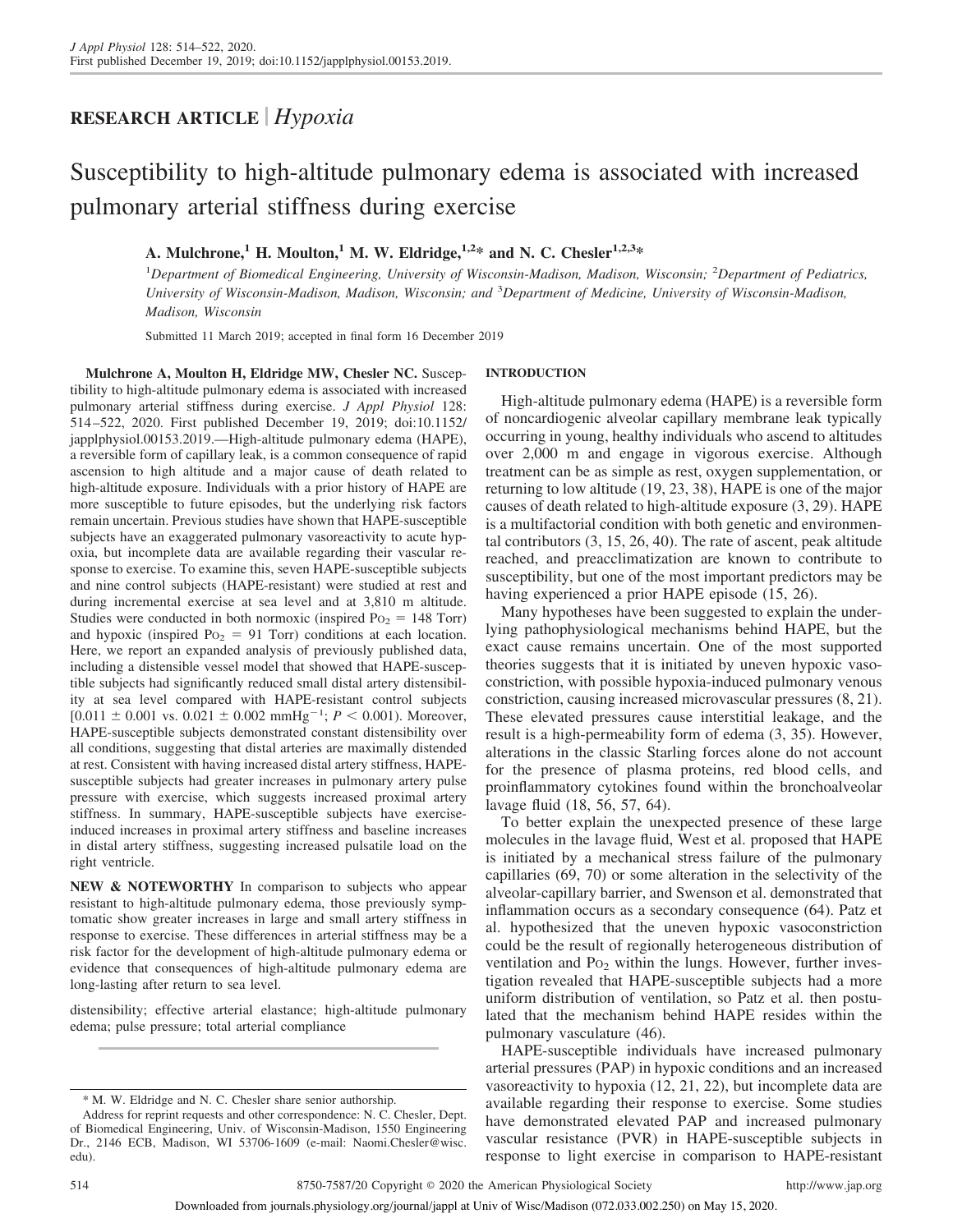## **RESEARCH ARTICLE** *Hypoxia*

# Susceptibility to high-altitude pulmonary edema is associated with increased pulmonary arterial stiffness during exercise

### A. Mulchrone,<sup>1</sup> **H.** Moulton,<sup>1</sup> **M.** W. Eldridge,<sup>1,2\*</sup> and N. C. Chesler<sup>1,2,3\*</sup>

1 *Department of Biomedical Engineering, University of Wisconsin-Madison, Madison, Wisconsin;* <sup>2</sup> *Department of Pediatrics, University of Wisconsin-Madison, Madison, Wisconsin; and* <sup>3</sup> *Department of Medicine, University of Wisconsin-Madison, Madison, Wisconsin*

Submitted 11 March 2019; accepted in final form 16 December 2019

**Mulchrone A, Moulton H, Eldridge MW, Chesler NC.** Susceptibility to high-altitude pulmonary edema is associated with increased pulmonary arterial stiffness during exercise. *J Appl Physiol* 128: 514 –522, 2020. First published December 19, 2019; doi:10.1152/ japplphysiol.00153.2019.—High-altitude pulmonary edema (HAPE), a reversible form of capillary leak, is a common consequence of rapid ascension to high altitude and a major cause of death related to high-altitude exposure. Individuals with a prior history of HAPE are more susceptible to future episodes, but the underlying risk factors remain uncertain. Previous studies have shown that HAPE-susceptible subjects have an exaggerated pulmonary vasoreactivity to acute hypoxia, but incomplete data are available regarding their vascular response to exercise. To examine this, seven HAPE-susceptible subjects and nine control subjects (HAPE-resistant) were studied at rest and during incremental exercise at sea level and at 3,810 m altitude. Studies were conducted in both normoxic (inspired  $P_{02} = 148$  Torr) and hypoxic (inspired  $P_{02} = 91$  Torr) conditions at each location. Here, we report an expanded analysis of previously published data, including a distensible vessel model that showed that HAPE-susceptible subjects had significantly reduced small distal artery distensibility at sea level compared with HAPE-resistant control subjects  $[0.011 \pm 0.001$  vs.  $0.021 \pm 0.002$  mmHg<sup>-1</sup>;  $P < 0.001$ ). Moreover, HAPE-susceptible subjects demonstrated constant distensibility over all conditions, suggesting that distal arteries are maximally distended at rest. Consistent with having increased distal artery stiffness, HAPEsusceptible subjects had greater increases in pulmonary artery pulse pressure with exercise, which suggests increased proximal artery stiffness. In summary, HAPE-susceptible subjects have exerciseinduced increases in proximal artery stiffness and baseline increases in distal artery stiffness, suggesting increased pulsatile load on the right ventricle.

**NEW & NOTEWORTHY** In comparison to subjects who appear resistant to high-altitude pulmonary edema, those previously symptomatic show greater increases in large and small artery stiffness in response to exercise. These differences in arterial stiffness may be a risk factor for the development of high-altitude pulmonary edema or evidence that consequences of high-altitude pulmonary edema are long-lasting after return to sea level.

distensibility; effective arterial elastance; high-altitude pulmonary edema; pulse pressure; total arterial compliance

#### **INTRODUCTION**

High-altitude pulmonary edema (HAPE) is a reversible form of noncardiogenic alveolar capillary membrane leak typically occurring in young, healthy individuals who ascend to altitudes over 2,000 m and engage in vigorous exercise. Although treatment can be as simple as rest, oxygen supplementation, or returning to low altitude (19, 23, 38), HAPE is one of the major causes of death related to high-altitude exposure (3, 29). HAPE is a multifactorial condition with both genetic and environmental contributors (3, 15, 26, 40). The rate of ascent, peak altitude reached, and preacclimatization are known to contribute to susceptibility, but one of the most important predictors may be having experienced a prior HAPE episode (15, 26).

Many hypotheses have been suggested to explain the underlying pathophysiological mechanisms behind HAPE, but the exact cause remains uncertain. One of the most supported theories suggests that it is initiated by uneven hypoxic vasoconstriction, with possible hypoxia-induced pulmonary venous constriction, causing increased microvascular pressures (8, 21). These elevated pressures cause interstitial leakage, and the result is a high-permeability form of edema (3, 35). However, alterations in the classic Starling forces alone do not account for the presence of plasma proteins, red blood cells, and proinflammatory cytokines found within the bronchoalveolar lavage fluid (18, 56, 57, 64).

To better explain the unexpected presence of these large molecules in the lavage fluid, West et al. proposed that HAPE is initiated by a mechanical stress failure of the pulmonary capillaries (69, 70) or some alteration in the selectivity of the alveolar-capillary barrier, and Swenson et al. demonstrated that inflammation occurs as a secondary consequence (64). Patz et al. hypothesized that the uneven hypoxic vasoconstriction could be the result of regionally heterogeneous distribution of ventilation and Po<sub>2</sub> within the lungs. However, further investigation revealed that HAPE-susceptible subjects had a more uniform distribution of ventilation, so Patz et al. then postulated that the mechanism behind HAPE resides within the pulmonary vasculature (46).

HAPE-susceptible individuals have increased pulmonary arterial pressures (PAP) in hypoxic conditions and an increased vasoreactivity to hypoxia (12, 21, 22), but incomplete data are available regarding their response to exercise. Some studies have demonstrated elevated PAP and increased pulmonary vascular resistance (PVR) in HAPE-susceptible subjects in response to light exercise in comparison to HAPE-resistant

<sup>\*</sup> M. W. Eldridge and N. C. Chesler share senior authorship.

Address for reprint requests and other correspondence: N. C. Chesler, Dept. of Biomedical Engineering, Univ. of Wisconsin-Madison, 1550 Engineering Dr., 2146 ECB, Madison, WI 53706-1609 (e-mail: Naomi.Chesler@wisc. edu).

Downloaded from journals.physiology.org/journal/jappl at Univ of Wisc/Madison (072.033.002.250) on May 15, 2020.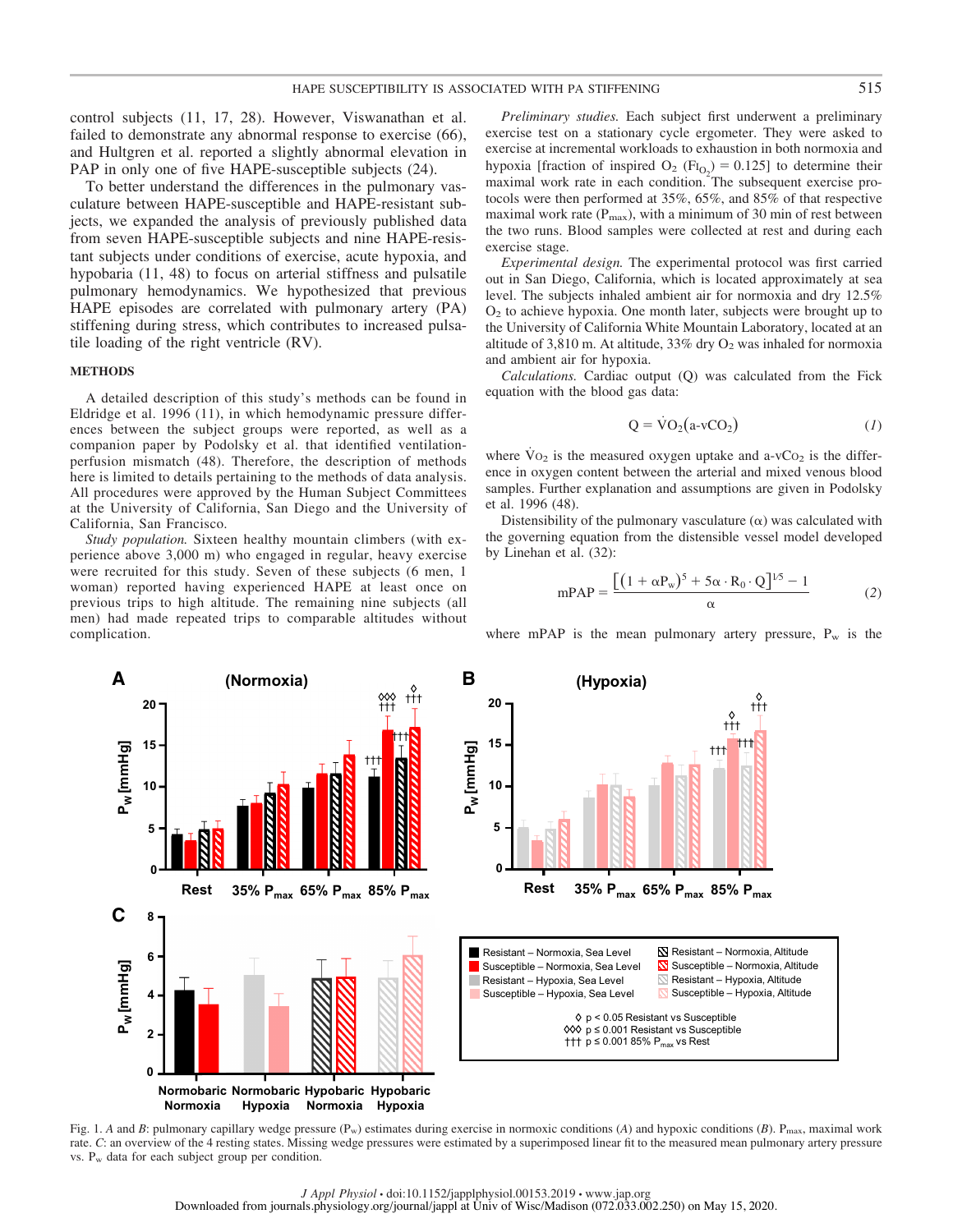control subjects (11, 17, 28). However, Viswanathan et al. failed to demonstrate any abnormal response to exercise (66), and Hultgren et al. reported a slightly abnormal elevation in PAP in only one of five HAPE-susceptible subjects (24).

To better understand the differences in the pulmonary vasculature between HAPE-susceptible and HAPE-resistant subjects, we expanded the analysis of previously published data from seven HAPE-susceptible subjects and nine HAPE-resistant subjects under conditions of exercise, acute hypoxia, and hypobaria (11, 48) to focus on arterial stiffness and pulsatile pulmonary hemodynamics. We hypothesized that previous HAPE episodes are correlated with pulmonary artery (PA) stiffening during stress, which contributes to increased pulsatile loading of the right ventricle (RV).

#### **METHODS**

**PW ] g H m m[**

**C**

**PW ] g H m m[**

A detailed description of this study's methods can be found in Eldridge et al. 1996 (11), in which hemodynamic pressure differences between the subject groups were reported, as well as a companion paper by Podolsky et al. that identified ventilationperfusion mismatch (48). Therefore, the description of methods here is limited to details pertaining to the methods of data analysis. All procedures were approved by the Human Subject Committees at the University of California, San Diego and the University of California, San Francisco.

*Study population.* Sixteen healthy mountain climbers (with experience above 3,000 m) who engaged in regular, heavy exercise were recruited for this study. Seven of these subjects (6 men, 1 woman) reported having experienced HAPE at least once on previous trips to high altitude. The remaining nine subjects (all men) had made repeated trips to comparable altitudes without complication.

*Preliminary studies.* Each subject first underwent a preliminary exercise test on a stationary cycle ergometer. They were asked to exercise at incremental workloads to exhaustion in both normoxia and hypoxia [fraction of inspired  $O_2$  (Fi<sub>O<sub>2</sub></sub>) = 0.125] to determine their maximal work rate in each condition. The subsequent exercise protocols were then performed at 35%, 65%, and 85% of that respective maximal work rate  $(P_{\text{max}})$ , with a minimum of 30 min of rest between the two runs. Blood samples were collected at rest and during each exercise stage.

*Experimental design.* The experimental protocol was first carried out in San Diego, California, which is located approximately at sea level. The subjects inhaled ambient air for normoxia and dry 12.5%  $O<sub>2</sub>$  to achieve hypoxia. One month later, subjects were brought up to the University of California White Mountain Laboratory, located at an altitude of 3,810 m. At altitude, 33% dry  $O_2$  was inhaled for normoxia and ambient air for hypoxia.

*Calculations.* Cardiac output (Q) was calculated from the Fick equation with the blood gas data:

$$
Q = \dot{V}O_2(a \cdot vCO_2)
$$
 (1)

where  $\overline{V}O_2$  is the measured oxygen uptake and a-vC $O_2$  is the difference in oxygen content between the arterial and mixed venous blood samples. Further explanation and assumptions are given in Podolsky et al. 1996 (48).

Distensibility of the pulmonary vasculature  $(\alpha)$  was calculated with the governing equation from the distensible vessel model developed by Linehan et al. (32):

$$
mPAP = \frac{\left[ (1 + \alpha P_w)^5 + 5\alpha \cdot R_0 \cdot Q \right]^{1/5} - 1}{\alpha} \tag{2}
$$

where mPAP is the mean pulmonary artery pressure,  $P_w$  is the



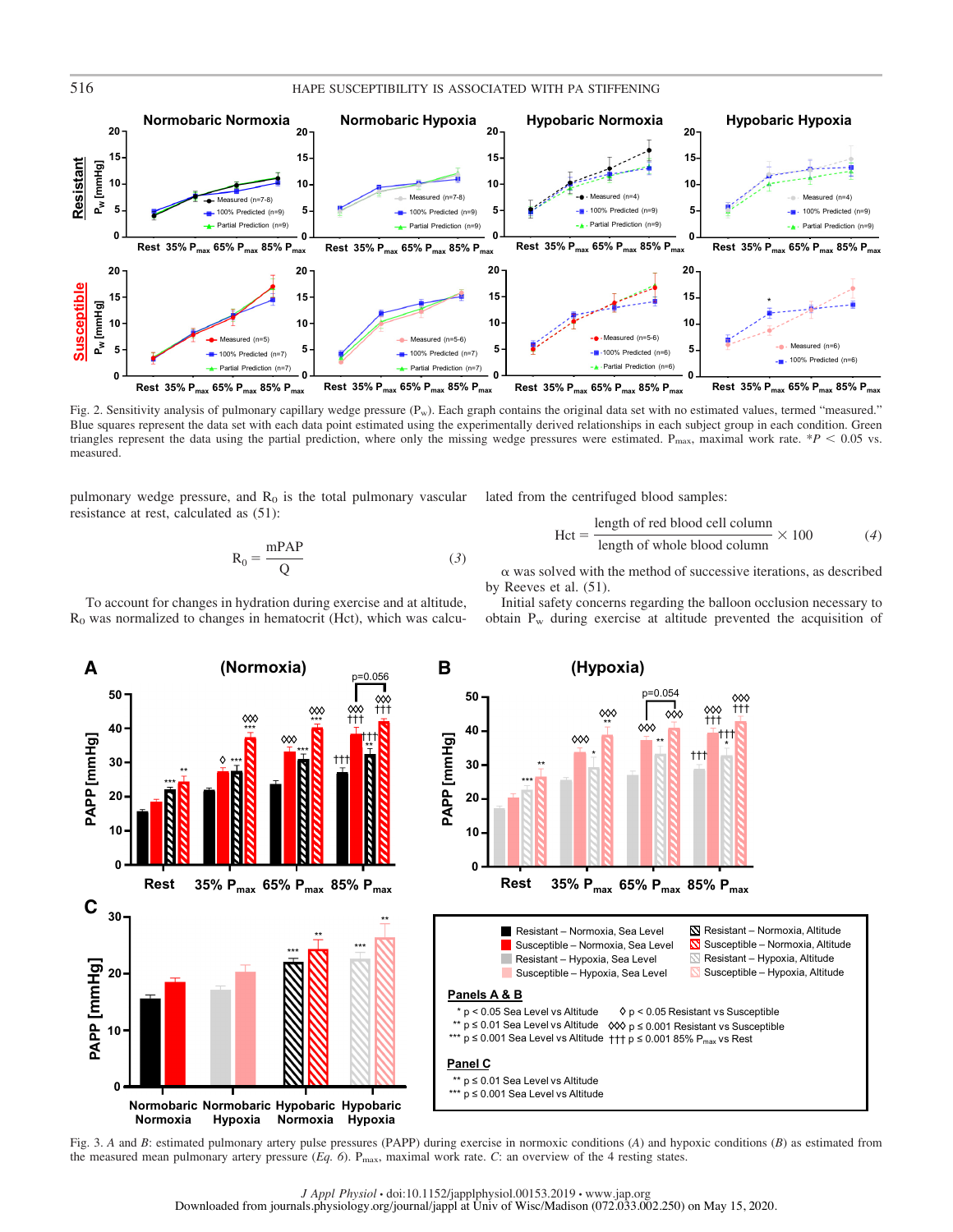

Fig. 2. Sensitivity analysis of pulmonary capillary wedge pressure  $(P_w)$ . Each graph contains the original data set with no estimated values, termed "measured." Blue squares represent the data set with each data point estimated using the experimentally derived relationships in each subject group in each condition. Green triangles represent the data using the partial prediction, where only the missing wedge pressures were estimated.  $P_{\text{max}}$ , maximal work rate. \**P*  $\leq$  0.05 vs. measured.

pulmonary wedge pressure, and  $R_0$  is the total pulmonary vascular resistance at rest, calculated as (51):

 $R_0 = \frac{mPAP}{Q}$  (3)

lated from the centrifuged blood samples:

$$
Hct = \frac{\text{length of red blood cell column}}{\text{length of whole blood column}} \times 100
$$
 (4)

 $\alpha$  was solved with the method of successive iterations, as described by Reeves et al. (51).

Initial safety concerns regarding the balloon occlusion necessary to obtain Pw during exercise at altitude prevented the acquisition of



p=0.054 **50** ††† ∞ ◇◇◇ ††† \*\*  $\overline{\diamond} \circ$ **40** †††  $\infty$ \*\* \* \* ††† **30** \*\* \*\*\* **20 10 0 Rest 35% Pmax 65% Pmax 85% Pmax Rest 35% Pmax 65% Pmax 85% Pmax** Resistant – Normoxia, Sea Level Susceptible – Normoxia, Sea Level

- Susceptible Normoxia, Altitude Resistant – Normoxia, Altitude  $\mathbb N$  Resistant – Hypoxia, Altitude
	- Susceptible Hypoxia, Altitude

#### **Panels A & B**

**PAPP [mmHg]**

PAPP [mmHg]

\* p < 0.05 Sea Level vs Altitude \*\* p ≤ 0.01 Sea Level vs Altitude p ≤ 0.001 Resistant vs Susceptible \*\*\* p ≤ 0.001 Sea Level vs Altitude ††† p ≤ 0.001 85% P<sub>max</sub> vs Rest  $\Diamond$  p < 0.05 Resistant vs Susceptible

Resistant – Hypoxia, Sea Level Susceptible – Hypoxia, Sea Level

**Panel C**

- \*\* p ≤ 0.01 Sea Level vs Altitude
- \*\*\* p ≤ 0.001 Sea Level vs Altitude

Fig. 3. *A* and *B*: estimated pulmonary artery pulse pressures (PAPP) during exercise in normoxic conditions (*A*) and hypoxic conditions (*B*) as estimated from the measured mean pulmonary artery pressure (*Eq. 6*). Pmax, maximal work rate. *C*: an overview of the 4 resting states.

To account for changes in hydration during exercise and at altitude, R0 was normalized to changes in hematocrit (Hct), which was calcu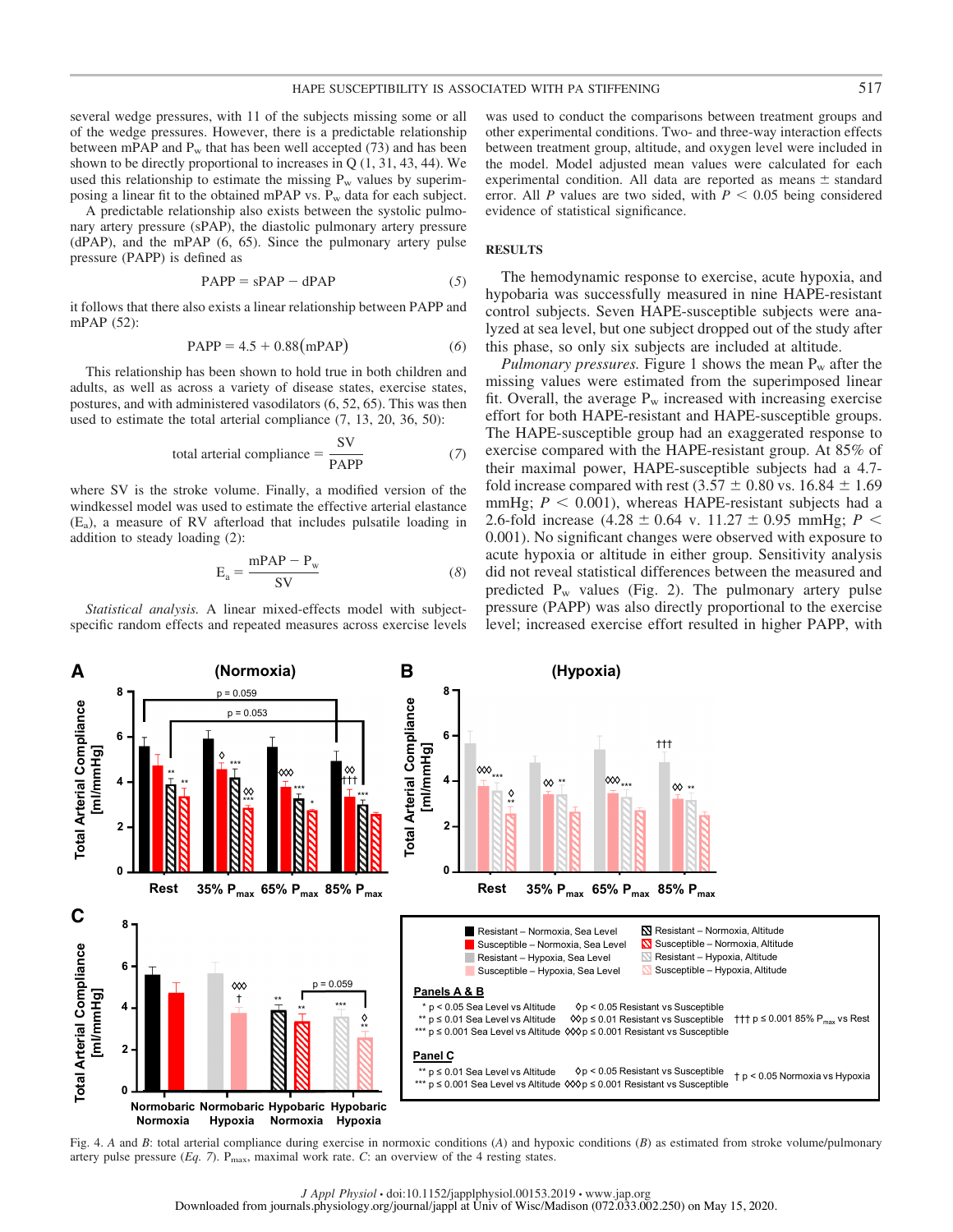several wedge pressures, with 11 of the subjects missing some or all of the wedge pressures. However, there is a predictable relationship between mPAP and  $P_w$  that has been well accepted (73) and has been shown to be directly proportional to increases in  $Q(1, 31, 43, 44)$ . We used this relationship to estimate the missing  $P_w$  values by superimposing a linear fit to the obtained mPAP vs. Pw data for each subject.

A predictable relationship also exists between the systolic pulmonary artery pressure (sPAP), the diastolic pulmonary artery pressure (dPAP), and the mPAP (6, 65). Since the pulmonary artery pulse pressure (PAPP) is defined as

$$
PAPP = sPAP - dPAP
$$
 (5)

it follows that there also exists a linear relationship between PAPP and mPAP (52):

$$
PAPP = 4.5 + 0.88(mPAP)
$$
 (6)

This relationship has been shown to hold true in both children and adults, as well as across a variety of disease states, exercise states, postures, and with administered vasodilators (6, 52, 65). This was then used to estimate the total arterial compliance (7, 13, 20, 36, 50):

total arterial compliance = 
$$
\frac{SV}{PAPP}
$$
 (7)

where SV is the stroke volume. Finally, a modified version of the windkessel model was used to estimate the effective arterial elastance (Ea), a measure of RV afterload that includes pulsatile loading in addition to steady loading (2):

$$
E_a = \frac{mPAP - P_w}{SV}
$$
 (8)

*Statistical analysis.* A linear mixed-effects model with subjectspecific random effects and repeated measures across exercise levels

was used to conduct the comparisons between treatment groups and other experimental conditions. Two- and three-way interaction effects between treatment group, altitude, and oxygen level were included in the model. Model adjusted mean values were calculated for each experimental condition. All data are reported as means  $\pm$  standard error. All *P* values are two sided, with  $P < 0.05$  being considered evidence of statistical significance.

#### **RESULTS**

The hemodynamic response to exercise, acute hypoxia, and hypobaria was successfully measured in nine HAPE-resistant control subjects. Seven HAPE-susceptible subjects were analyzed at sea level, but one subject dropped out of the study after this phase, so only six subjects are included at altitude.

*Pulmonary pressures.* Figure 1 shows the mean  $P_w$  after the missing values were estimated from the superimposed linear fit. Overall, the average  $P_w$  increased with increasing exercise effort for both HAPE-resistant and HAPE-susceptible groups. The HAPE-susceptible group had an exaggerated response to exercise compared with the HAPE-resistant group. At 85% of their maximal power, HAPE-susceptible subjects had a 4.7 fold increase compared with rest (3.57  $\pm$  0.80 vs. 16.84  $\pm$  1.69 mmHg;  $P < 0.001$ ), whereas HAPE-resistant subjects had a 2.6-fold increase  $(4.28 \pm 0.64 \text{ v. } 11.27 \pm 0.95 \text{ mmHg}; P <$ 0.001). No significant changes were observed with exposure to acute hypoxia or altitude in either group. Sensitivity analysis did not reveal statistical differences between the measured and predicted  $P_w$  values (Fig. 2). The pulmonary artery pulse pressure (PAPP) was also directly proportional to the exercise level; increased exercise effort resulted in higher PAPP, with



Fig. 4. *A* and *B*: total arterial compliance during exercise in normoxic conditions (*A*) and hypoxic conditions (*B*) as estimated from stroke volume/pulmonary artery pulse pressure (*Eq. 7*). Pmax, maximal work rate. *C*: an overview of the 4 resting states.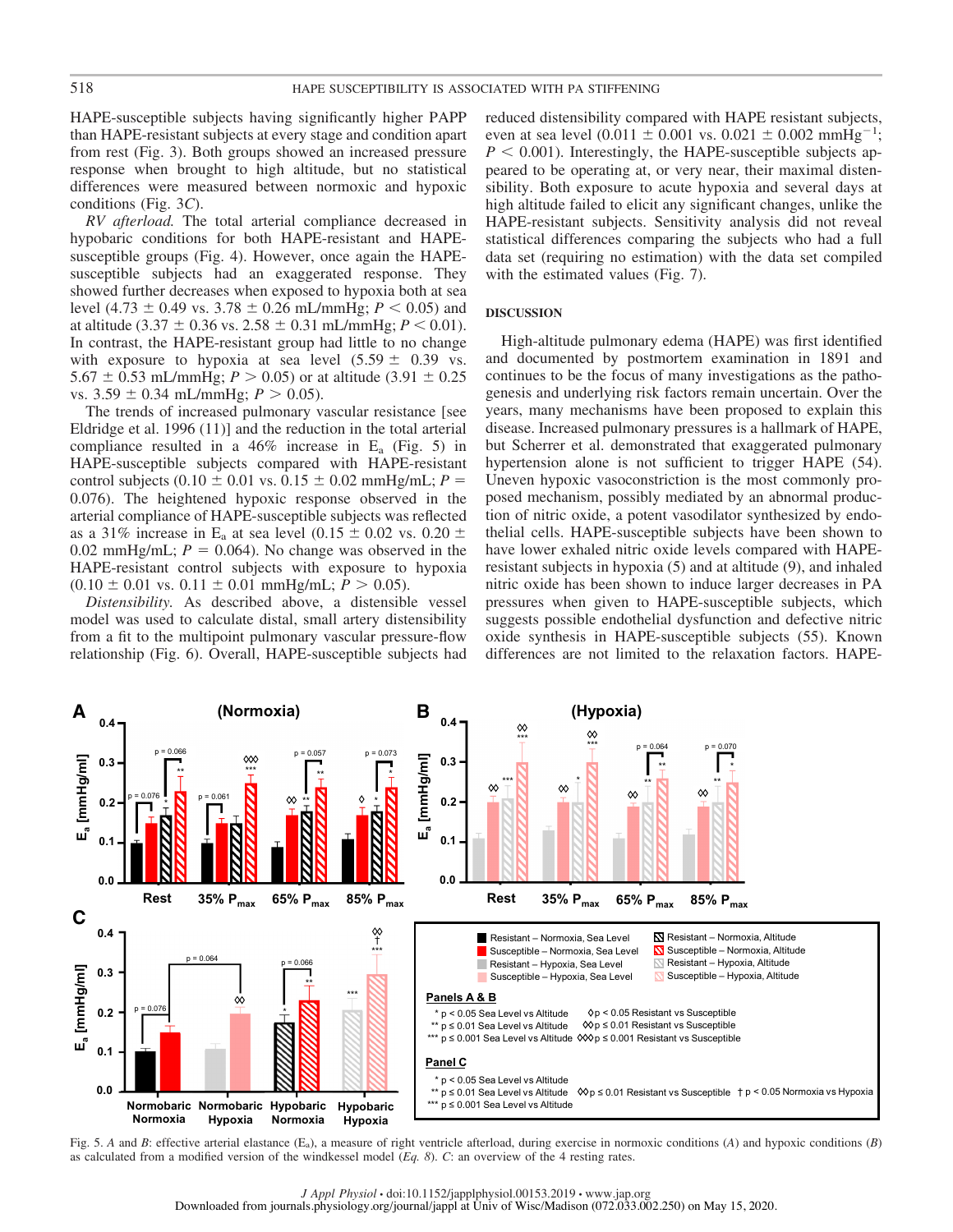HAPE-susceptible subjects having significantly higher PAPP than HAPE-resistant subjects at every stage and condition apart from rest (Fig. 3). Both groups showed an increased pressure response when brought to high altitude, but no statistical differences were measured between normoxic and hypoxic conditions (Fig. 3*C*).

*RV afterload.* The total arterial compliance decreased in hypobaric conditions for both HAPE-resistant and HAPEsusceptible groups (Fig. 4). However, once again the HAPEsusceptible subjects had an exaggerated response. They showed further decreases when exposed to hypoxia both at sea level (4.73  $\pm$  0.49 vs. 3.78  $\pm$  0.26 mL/mmHg; *P* < 0.05) and at altitude (3.37  $\pm$  0.36 vs. 2.58  $\pm$  0.31 mL/mmHg; *P* < 0.01). In contrast, the HAPE-resistant group had little to no change with exposure to hypoxia at sea level  $(5.59 \pm 0.39 \text{ vs.})$ 5.67  $\pm$  0.53 mL/mmHg; *P*  $>$  0.05) or at altitude (3.91  $\pm$  0.25 vs.  $3.59 \pm 0.34$  mL/mmHg;  $P > 0.05$ ).

The trends of increased pulmonary vascular resistance [see Eldridge et al. 1996 (11)] and the reduction in the total arterial compliance resulted in a  $46\%$  increase in E<sub>a</sub> (Fig. 5) in HAPE-susceptible subjects compared with HAPE-resistant control subjects (0.10  $\pm$  0.01 vs. 0.15  $\pm$  0.02 mmHg/mL; *P* = 0.076). The heightened hypoxic response observed in the arterial compliance of HAPE-susceptible subjects was reflected as a 31% increase in E<sub>a</sub> at sea level  $(0.15 \pm 0.02 \text{ vs. } 0.20 \pm 0.02 \text{ vs. } 0.20 \pm 0.02 \text{ vs. } 0.20 \pm 0.02 \text{ vs. } 0.20 \pm 0.02 \text{ vs. } 0.20 \pm 0.02 \text{ vs. } 0.20 \pm 0.02 \text{ vs. } 0.20 \pm 0.02 \text{ vs. } 0.20 \pm 0.02 \text{ vs. } 0.20 \pm 0.02 \text{ vs. }$ 0.02 mmHg/mL;  $P = 0.064$ ). No change was observed in the HAPE-resistant control subjects with exposure to hypoxia  $(0.10 \pm 0.01 \text{ vs. } 0.11 \pm 0.01 \text{ mmHg/mL}; P > 0.05).$ 

*Distensibility.* As described above, a distensible vessel model was used to calculate distal, small artery distensibility from a fit to the multipoint pulmonary vascular pressure-flow relationship (Fig. 6). Overall, HAPE-susceptible subjects had

reduced distensibility compared with HAPE resistant subjects, even at sea level  $(0.011 \pm 0.001 \text{ vs. } 0.021 \pm 0.002 \text{ mmHg}^{-1})$ ;  $P < 0.001$ ). Interestingly, the HAPE-susceptible subjects appeared to be operating at, or very near, their maximal distensibility. Both exposure to acute hypoxia and several days at high altitude failed to elicit any significant changes, unlike the HAPE-resistant subjects. Sensitivity analysis did not reveal statistical differences comparing the subjects who had a full data set (requiring no estimation) with the data set compiled with the estimated values (Fig. 7).

#### **DISCUSSION**

High-altitude pulmonary edema (HAPE) was first identified and documented by postmortem examination in 1891 and continues to be the focus of many investigations as the pathogenesis and underlying risk factors remain uncertain. Over the years, many mechanisms have been proposed to explain this disease. Increased pulmonary pressures is a hallmark of HAPE, but Scherrer et al. demonstrated that exaggerated pulmonary hypertension alone is not sufficient to trigger HAPE (54). Uneven hypoxic vasoconstriction is the most commonly proposed mechanism, possibly mediated by an abnormal production of nitric oxide, a potent vasodilator synthesized by endothelial cells. HAPE-susceptible subjects have been shown to have lower exhaled nitric oxide levels compared with HAPEresistant subjects in hypoxia (5) and at altitude (9), and inhaled nitric oxide has been shown to induce larger decreases in PA pressures when given to HAPE-susceptible subjects, which suggests possible endothelial dysfunction and defective nitric oxide synthesis in HAPE-susceptible subjects (55). Known differences are not limited to the relaxation factors. HAPE-



Fig. 5. *A* and *B*: effective arterial elastance (E<sub>a</sub>), a measure of right ventricle afterload, during exercise in normoxic conditions (*A*) and hypoxic conditions (*B*) as calculated from a modified version of the windkessel model (*Eq. 8*). *C*: an overview of the 4 resting rates.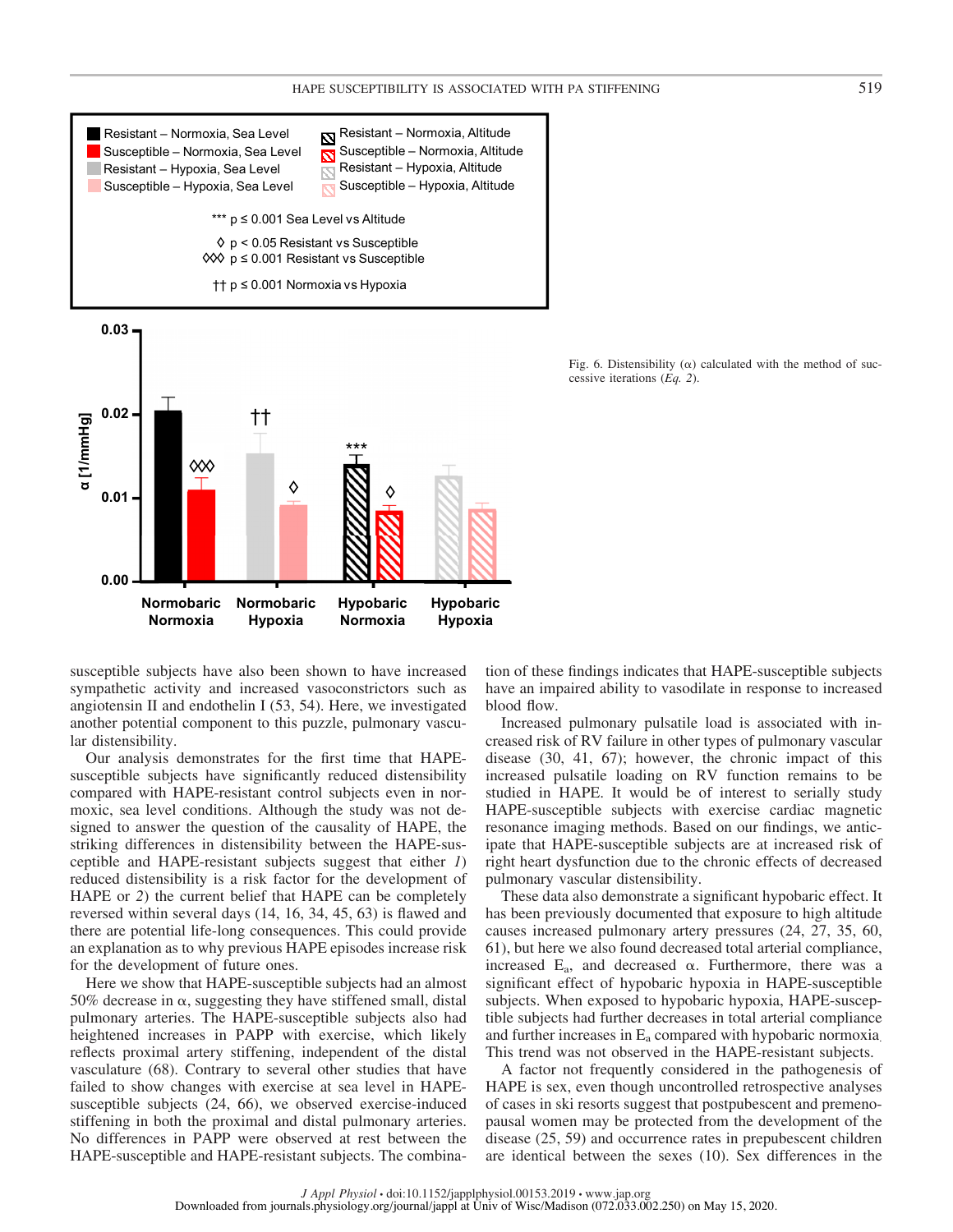

Fig. 6. Distensibility ( $\alpha$ ) calculated with the method of successive iterations (*Eq. 2*).

susceptible subjects have also been shown to have increased sympathetic activity and increased vasoconstrictors such as angiotensin II and endothelin I (53, 54). Here, we investigated another potential component to this puzzle, pulmonary vascular distensibility.

Our analysis demonstrates for the first time that HAPEsusceptible subjects have significantly reduced distensibility compared with HAPE-resistant control subjects even in normoxic, sea level conditions. Although the study was not designed to answer the question of the causality of HAPE, the striking differences in distensibility between the HAPE-susceptible and HAPE-resistant subjects suggest that either *1*) reduced distensibility is a risk factor for the development of HAPE or *2*) the current belief that HAPE can be completely reversed within several days (14, 16, 34, 45, 63) is flawed and there are potential life-long consequences. This could provide an explanation as to why previous HAPE episodes increase risk for the development of future ones.

Here we show that HAPE-susceptible subjects had an almost 50% decrease in  $\alpha$ , suggesting they have stiffened small, distal pulmonary arteries. The HAPE-susceptible subjects also had heightened increases in PAPP with exercise, which likely reflects proximal artery stiffening, independent of the distal vasculature (68). Contrary to several other studies that have failed to show changes with exercise at sea level in HAPEsusceptible subjects (24, 66), we observed exercise-induced stiffening in both the proximal and distal pulmonary arteries. No differences in PAPP were observed at rest between the HAPE-susceptible and HAPE-resistant subjects. The combination of these findings indicates that HAPE-susceptible subjects have an impaired ability to vasodilate in response to increased blood flow.

Increased pulmonary pulsatile load is associated with increased risk of RV failure in other types of pulmonary vascular disease (30, 41, 67); however, the chronic impact of this increased pulsatile loading on RV function remains to be studied in HAPE. It would be of interest to serially study HAPE-susceptible subjects with exercise cardiac magnetic resonance imaging methods. Based on our findings, we anticipate that HAPE-susceptible subjects are at increased risk of right heart dysfunction due to the chronic effects of decreased pulmonary vascular distensibility.

These data also demonstrate a significant hypobaric effect. It has been previously documented that exposure to high altitude causes increased pulmonary artery pressures (24, 27, 35, 60, 61), but here we also found decreased total arterial compliance, increased  $E_a$ , and decreased  $\alpha$ . Furthermore, there was a significant effect of hypobaric hypoxia in HAPE-susceptible subjects. When exposed to hypobaric hypoxia, HAPE-susceptible subjects had further decreases in total arterial compliance and further increases in Ea compared with hypobaric normoxia. This trend was not observed in the HAPE-resistant subjects.

A factor not frequently considered in the pathogenesis of HAPE is sex, even though uncontrolled retrospective analyses of cases in ski resorts suggest that postpubescent and premenopausal women may be protected from the development of the disease (25, 59) and occurrence rates in prepubescent children are identical between the sexes (10). Sex differences in the

*J Appl Physiol* • doi:10.1152/japplphysiol.00153.2019 • www.jap.org Downloaded from journals.physiology.org/journal/jappl at Univ of Wisc/Madison (072.033.002.250) on May 15, 2020.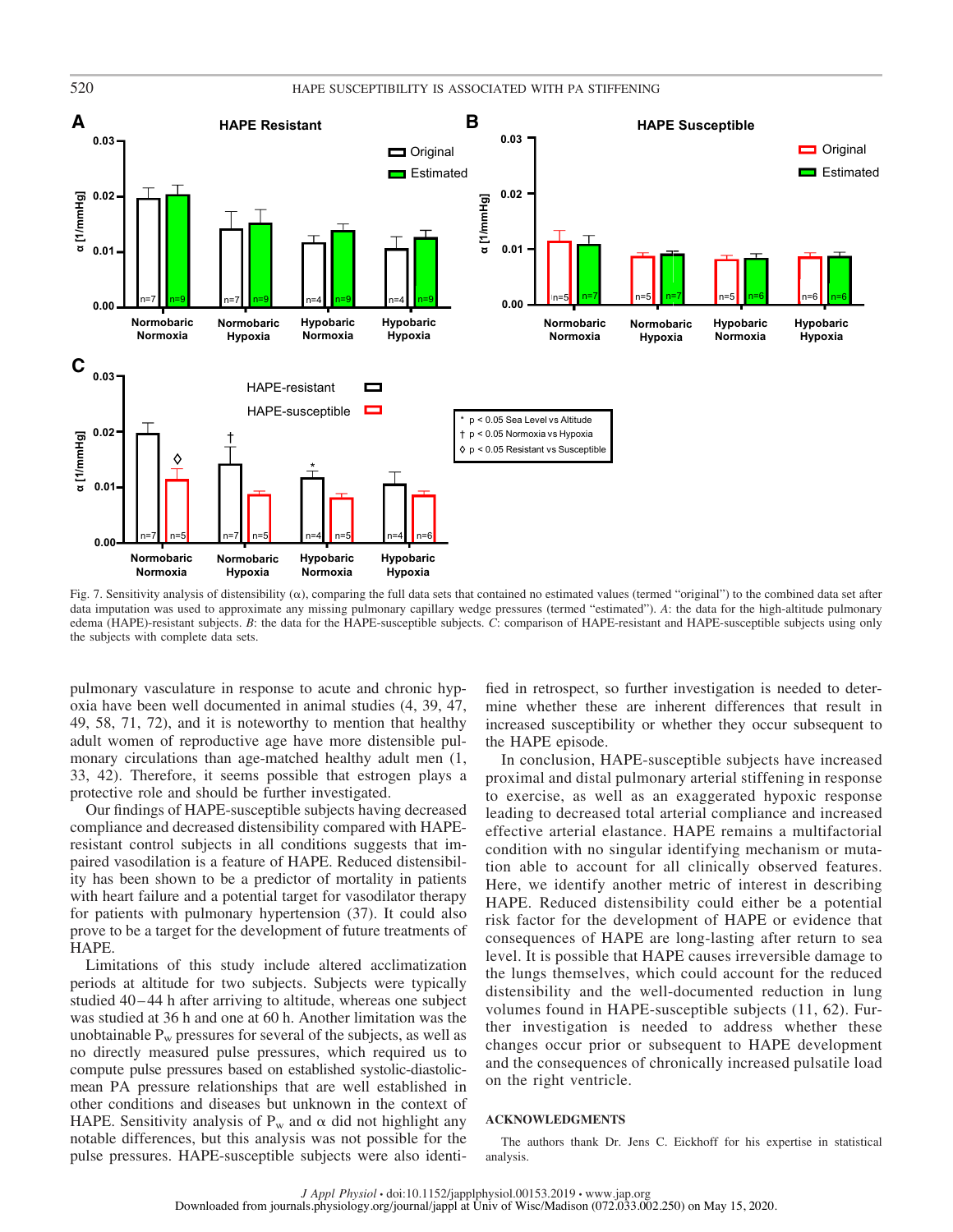

Fig. 7. Sensitivity analysis of distensibility  $(\alpha)$ , comparing the full data sets that contained no estimated values (termed "original") to the combined data set after data imputation was used to approximate any missing pulmonary capillary wedge pressures (termed "estimated"). *A*: the data for the high-altitude pulmonary edema (HAPE)-resistant subjects. *B*: the data for the HAPE-susceptible subjects. *C*: comparison of HAPE-resistant and HAPE-susceptible subjects using only the subjects with complete data sets.

pulmonary vasculature in response to acute and chronic hypoxia have been well documented in animal studies (4, 39, 47, 49, 58, 71, 72), and it is noteworthy to mention that healthy adult women of reproductive age have more distensible pulmonary circulations than age-matched healthy adult men (1, 33, 42). Therefore, it seems possible that estrogen plays a protective role and should be further investigated.

Our findings of HAPE-susceptible subjects having decreased compliance and decreased distensibility compared with HAPEresistant control subjects in all conditions suggests that impaired vasodilation is a feature of HAPE. Reduced distensibility has been shown to be a predictor of mortality in patients with heart failure and a potential target for vasodilator therapy for patients with pulmonary hypertension (37). It could also prove to be a target for the development of future treatments of HAPE.

Limitations of this study include altered acclimatization periods at altitude for two subjects. Subjects were typically studied 40 – 44 h after arriving to altitude, whereas one subject was studied at 36 h and one at 60 h. Another limitation was the unobtainable  $P_w$  pressures for several of the subjects, as well as no directly measured pulse pressures, which required us to compute pulse pressures based on established systolic-diastolicmean PA pressure relationships that are well established in other conditions and diseases but unknown in the context of HAPE. Sensitivity analysis of  $P_w$  and  $\alpha$  did not highlight any notable differences, but this analysis was not possible for the pulse pressures. HAPE-susceptible subjects were also identified in retrospect, so further investigation is needed to determine whether these are inherent differences that result in increased susceptibility or whether they occur subsequent to the HAPE episode.

In conclusion, HAPE-susceptible subjects have increased proximal and distal pulmonary arterial stiffening in response to exercise, as well as an exaggerated hypoxic response leading to decreased total arterial compliance and increased effective arterial elastance. HAPE remains a multifactorial condition with no singular identifying mechanism or mutation able to account for all clinically observed features. Here, we identify another metric of interest in describing HAPE. Reduced distensibility could either be a potential risk factor for the development of HAPE or evidence that consequences of HAPE are long-lasting after return to sea level. It is possible that HAPE causes irreversible damage to the lungs themselves, which could account for the reduced distensibility and the well-documented reduction in lung volumes found in HAPE-susceptible subjects (11, 62). Further investigation is needed to address whether these changes occur prior or subsequent to HAPE development and the consequences of chronically increased pulsatile load on the right ventricle.

#### **ACKNOWLEDGMENTS**

The authors thank Dr. Jens C. Eickhoff for his expertise in statistical analysis.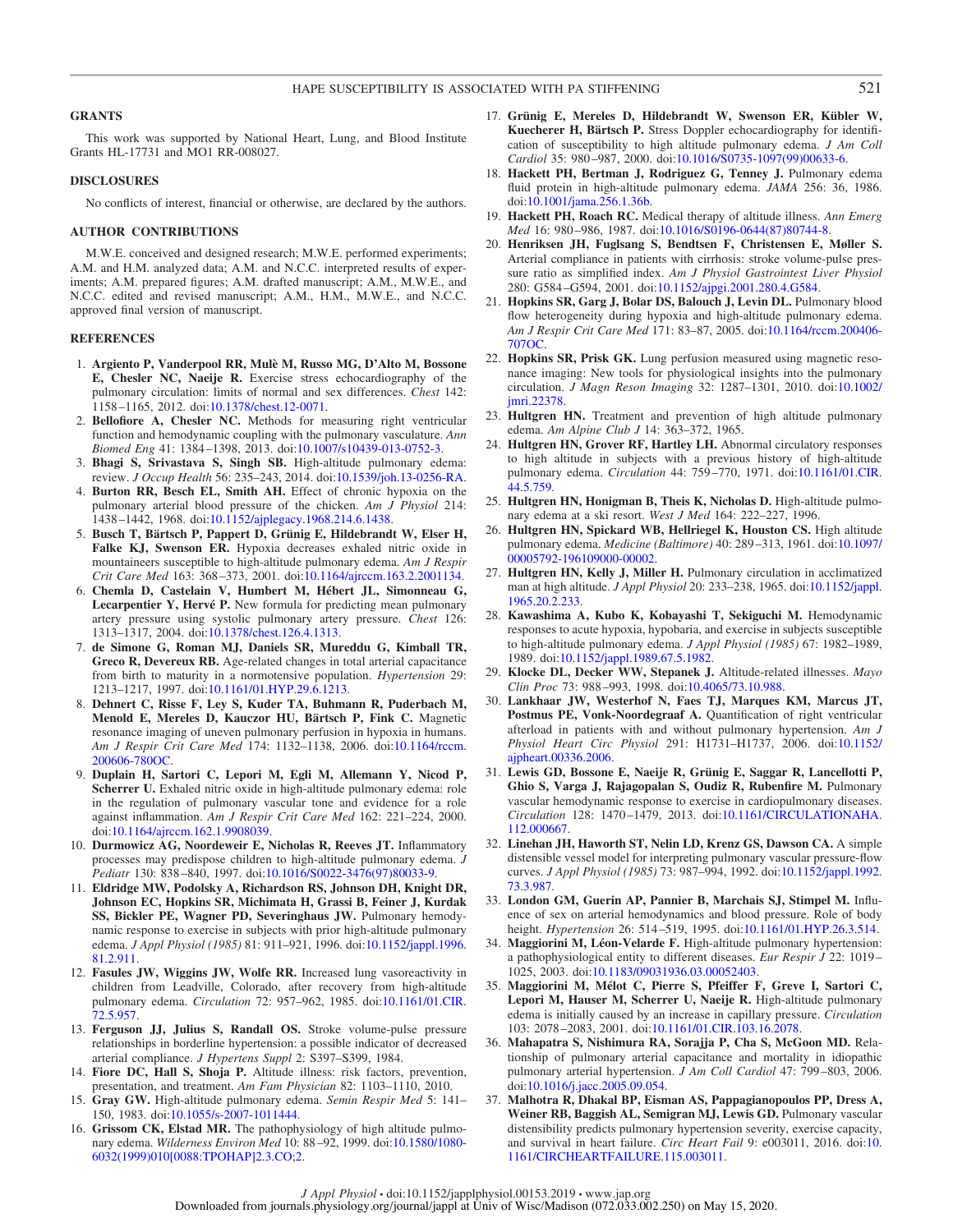#### **GRANTS**

This work was supported by National Heart, Lung, and Blood Institute Grants HL-17731 and MO1 RR-008027.

#### **DISCLOSURES**

No conflicts of interest, financial or otherwise, are declared by the authors.

#### **AUTHOR CONTRIBUTIONS**

M.W.E. conceived and designed research; M.W.E. performed experiments; A.M. and H.M. analyzed data; A.M. and N.C.C. interpreted results of experiments; A.M. prepared figures; A.M. drafted manuscript; A.M., M.W.E., and N.C.C. edited and revised manuscript; A.M., H.M., M.W.E., and N.C.C. approved final version of manuscript.

#### **REFERENCES**

- 1. **Argiento P, Vanderpool RR, Mulè M, Russo MG, D'Alto M, Bossone E, Chesler NC, Naeije R.** Exercise stress echocardiography of the pulmonary circulation: limits of normal and sex differences. *Chest* 142: 1158 –1165, 2012. doi:10.1378/chest.12-0071.
- 2. **Bellofiore A, Chesler NC.** Methods for measuring right ventricular function and hemodynamic coupling with the pulmonary vasculature. *Ann Biomed Eng* 41: 1384 –1398, 2013. doi:10.1007/s10439-013-0752-3.
- 3. **Bhagi S, Srivastava S, Singh SB.** High-altitude pulmonary edema: review. *J Occup Health* 56: 235–243, 2014. doi:10.1539/joh.13-0256-RA.
- 4. **Burton RR, Besch EL, Smith AH.** Effect of chronic hypoxia on the pulmonary arterial blood pressure of the chicken. *Am J Physiol* 214: 1438 –1442, 1968. doi:10.1152/ajplegacy.1968.214.6.1438.
- 5. **Busch T, Bärtsch P, Pappert D, Grünig E, Hildebrandt W, Elser H, Falke KJ, Swenson ER.** Hypoxia decreases exhaled nitric oxide in mountaineers susceptible to high-altitude pulmonary edema. *Am J Respir Crit Care Med* 163: 368 –373, 2001. doi:10.1164/ajrccm.163.2.2001134.
- 6. **Chemla D, Castelain V, Humbert M, Hébert JL, Simonneau G, Lecarpentier Y, Hervé P.** New formula for predicting mean pulmonary artery pressure using systolic pulmonary artery pressure. *Chest* 126: 1313–1317, 2004. doi:10.1378/chest.126.4.1313.
- 7. **de Simone G, Roman MJ, Daniels SR, Mureddu G, Kimball TR, Greco R, Devereux RB.** Age-related changes in total arterial capacitance from birth to maturity in a normotensive population. *Hypertension* 29: 1213–1217, 1997. doi:10.1161/01.HYP.29.6.1213.
- 8. **Dehnert C, Risse F, Ley S, Kuder TA, Buhmann R, Puderbach M, Menold E, Mereles D, Kauczor HU, Bärtsch P, Fink C.** Magnetic resonance imaging of uneven pulmonary perfusion in hypoxia in humans. *Am J Respir Crit Care Med* 174: 1132–1138, 2006. doi:10.1164/rccm. 200606-780OC.
- 9. **Duplain H, Sartori C, Lepori M, Egli M, Allemann Y, Nicod P, Scherrer U.** Exhaled nitric oxide in high-altitude pulmonary edema: role in the regulation of pulmonary vascular tone and evidence for a role against inflammation. *Am J Respir Crit Care Med* 162: 221–224, 2000. doi:10.1164/ajrccm.162.1.9908039.
- 10. **Durmowicz AG, Noordeweir E, Nicholas R, Reeves JT.** Inflammatory processes may predispose children to high-altitude pulmonary edema. *J Pediatr* 130: 838 –840, 1997. doi:10.1016/S0022-3476(97)80033-9.
- 11. **Eldridge MW, Podolsky A, Richardson RS, Johnson DH, Knight DR, Johnson EC, Hopkins SR, Michimata H, Grassi B, Feiner J, Kurdak SS, Bickler PE, Wagner PD, Severinghaus JW.** Pulmonary hemodynamic response to exercise in subjects with prior high-altitude pulmonary edema. *J Appl Physiol (1985)* 81: 911–921, 1996. doi:10.1152/jappl.1996. 81.2.911.
- 12. **Fasules JW, Wiggins JW, Wolfe RR.** Increased lung vasoreactivity in children from Leadville, Colorado, after recovery from high-altitude pulmonary edema. *Circulation* 72: 957–962, 1985. doi:10.1161/01.CIR. 72.5.957.
- 13. **Ferguson JJ, Julius S, Randall OS.** Stroke volume-pulse pressure relationships in borderline hypertension: a possible indicator of decreased arterial compliance. *J Hypertens Suppl* 2: S397–S399, 1984.
- 14. **Fiore DC, Hall S, Shoja P.** Altitude illness: risk factors, prevention, presentation, and treatment. *Am Fam Physician* 82: 1103–1110, 2010.
- 15. **Gray GW.** High-altitude pulmonary edema. *Semin Respir Med* 5: 141– 150, 1983. doi:10.1055/s-2007-1011444.
- 16. **Grissom CK, Elstad MR.** The pathophysiology of high altitude pulmonary edema. *Wilderness Environ Med* 10: 88 –92, 1999. doi:10.1580/1080- 6032(1999)010[0088:TPOHAP]2.3.CO;2.
- 17. **Grünig E, Mereles D, Hildebrandt W, Swenson ER, Kübler W, Kuecherer H, Bärtsch P.** Stress Doppler echocardiography for identification of susceptibility to high altitude pulmonary edema. *J Am Coll Cardiol* 35: 980 –987, 2000. doi:10.1016/S0735-1097(99)00633-6.
- 18. **Hackett PH, Bertman J, Rodriguez G, Tenney J.** Pulmonary edema fluid protein in high-altitude pulmonary edema. *JAMA* 256: 36, 1986. doi:10.1001/jama.256.1.36b.
- 19. **Hackett PH, Roach RC.** Medical therapy of altitude illness. *Ann Emerg Med* 16: 980 –986, 1987. doi:10.1016/S0196-0644(87)80744-8.
- 20. **Henriksen JH, Fuglsang S, Bendtsen F, Christensen E, Møller S.** Arterial compliance in patients with cirrhosis: stroke volume-pulse pressure ratio as simplified index. *Am J Physiol Gastrointest Liver Physiol* 280: G584 –G594, 2001. doi:10.1152/ajpgi.2001.280.4.G584.
- 21. **Hopkins SR, Garg J, Bolar DS, Balouch J, Levin DL.** Pulmonary blood flow heterogeneity during hypoxia and high-altitude pulmonary edema. *Am J Respir Crit Care Med* 171: 83–87, 2005. doi:10.1164/rccm.200406- 707OC.
- 22. **Hopkins SR, Prisk GK.** Lung perfusion measured using magnetic resonance imaging: New tools for physiological insights into the pulmonary circulation. *J Magn Reson Imaging* 32: 1287–1301, 2010. doi:10.1002/ jmri.22378.
- 23. **Hultgren HN.** Treatment and prevention of high altitude pulmonary edema. *Am Alpine Club J* 14: 363–372, 1965.
- 24. **Hultgren HN, Grover RF, Hartley LH.** Abnormal circulatory responses to high altitude in subjects with a previous history of high-altitude pulmonary edema. *Circulation* 44: 759 –770, 1971. doi:10.1161/01.CIR. 44.5.759.
- 25. **Hultgren HN, Honigman B, Theis K, Nicholas D.** High-altitude pulmonary edema at a ski resort. *West J Med* 164: 222–227, 1996.
- 26. **Hultgren HN, Spickard WB, Hellriegel K, Houston CS.** High altitude pulmonary edema. *Medicine (Baltimore)* 40: 289 –313, 1961. doi:10.1097/ 00005792-196109000-00002.
- 27. **Hultgren HN, Kelly J, Miller H.** Pulmonary circulation in acclimatized man at high altitude. *J Appl Physiol* 20: 233–238, 1965. doi:10.1152/jappl. 1965.20.2.233.
- 28. **Kawashima A, Kubo K, Kobayashi T, Sekiguchi M.** Hemodynamic responses to acute hypoxia, hypobaria, and exercise in subjects susceptible to high-altitude pulmonary edema. *J Appl Physiol (1985)* 67: 1982–1989, 1989. doi:10.1152/jappl.1989.67.5.1982.
- 29. **Klocke DL, Decker WW, Stepanek J.** Altitude-related illnesses. *Mayo Clin Proc* 73: 988 –993, 1998. doi:10.4065/73.10.988.
- 30. **Lankhaar JW, Westerhof N, Faes TJ, Marques KM, Marcus JT, Postmus PE, Vonk-Noordegraaf A.** Quantification of right ventricular afterload in patients with and without pulmonary hypertension. *Am J Physiol Heart Circ Physiol* 291: H1731–H1737, 2006. doi:10.1152/ ajpheart.00336.2006.
- 31. **Lewis GD, Bossone E, Naeije R, Grünig E, Saggar R, Lancellotti P, Ghio S, Varga J, Rajagopalan S, Oudiz R, Rubenfire M.** Pulmonary vascular hemodynamic response to exercise in cardiopulmonary diseases. *Circulation* 128: 1470 –1479, 2013. doi:10.1161/CIRCULATIONAHA. 112.000667.
- 32. **Linehan JH, Haworth ST, Nelin LD, Krenz GS, Dawson CA.** A simple distensible vessel model for interpreting pulmonary vascular pressure-flow curves. *J Appl Physiol (1985)* 73: 987–994, 1992. doi:10.1152/jappl.1992. 73.3.987.
- 33. **London GM, Guerin AP, Pannier B, Marchais SJ, Stimpel M.** Influence of sex on arterial hemodynamics and blood pressure. Role of body height. *Hypertension* 26: 514 –519, 1995. doi:10.1161/01.HYP.26.3.514.
- 34. **Maggiorini M, Léon-Velarde F.** High-altitude pulmonary hypertension: a pathophysiological entity to different diseases. *Eur Respir J* 22: 1019 – 1025, 2003. doi:10.1183/09031936.03.00052403.
- 35. **Maggiorini M, Mélot C, Pierre S, Pfeiffer F, Greve I, Sartori C, Lepori M, Hauser M, Scherrer U, Naeije R.** High-altitude pulmonary edema is initially caused by an increase in capillary pressure. *Circulation* 103: 2078 –2083, 2001. doi:10.1161/01.CIR.103.16.2078.
- 36. **Mahapatra S, Nishimura RA, Sorajja P, Cha S, McGoon MD.** Relationship of pulmonary arterial capacitance and mortality in idiopathic pulmonary arterial hypertension. *J Am Coll Cardiol* 47: 799 –803, 2006. doi:10.1016/j.jacc.2005.09.054.
- 37. **Malhotra R, Dhakal BP, Eisman AS, Pappagianopoulos PP, Dress A, Weiner RB, Baggish AL, Semigran MJ, Lewis GD.** Pulmonary vascular distensibility predicts pulmonary hypertension severity, exercise capacity, and survival in heart failure. *Circ Heart Fail* 9: e003011, 2016. doi:10. 1161/CIRCHEARTFAILURE.115.003011.